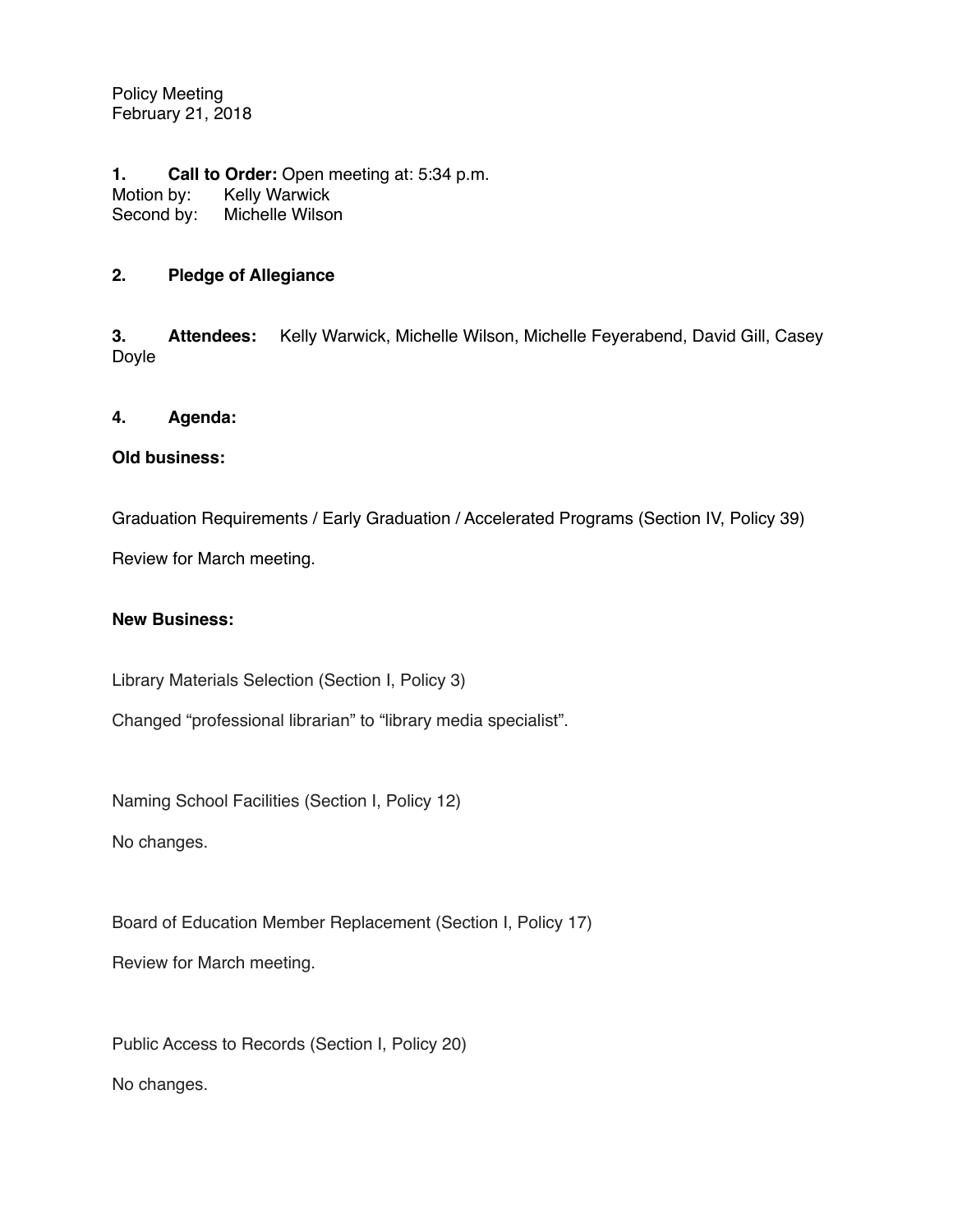Policy Meeting February 21, 2018

**1. Call to Order:** Open meeting at: 5:34 p.m. Motion by: Kelly Warwick<br>Second by: Michelle Wilson Second by:

# **2. Pledge of Allegiance**

**3. Attendees:** Kelly Warwick, Michelle Wilson, Michelle Feyerabend, David Gill, Casey Doyle

### **4. Agenda:**

### **Old business:**

Graduation Requirements / Early Graduation / Accelerated Programs (Section IV, Policy 39)

Review for March meeting.

### **New Business:**

Library Materials Selection (Section I, Policy 3)

Changed "professional librarian" to "library media specialist".

Naming School Facilities (Section I, Policy 12)

No changes.

Board of Education Member Replacement (Section I, Policy 17)

Review for March meeting.

Public Access to Records (Section I, Policy 20) No changes.